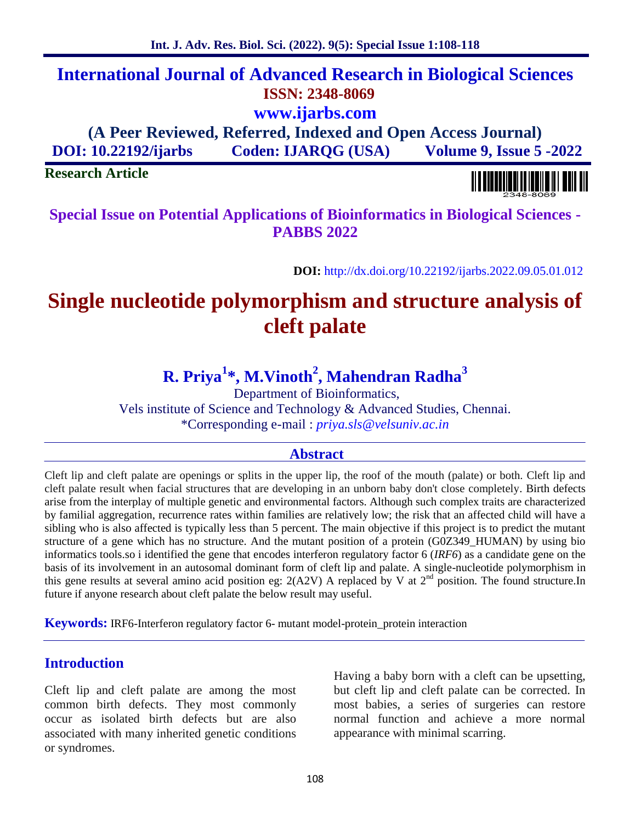# **International Journal of Advanced Research in Biological Sciences ISSN: 2348-8069 www.ijarbs.com**

**(A Peer Reviewed, Referred, Indexed and Open Access Journal) DOI: 10.22192/ijarbs Coden: IJARQG (USA) Volume 9, Issue 5 -2022**

**Research Article**

**Special Issue on Potential Applications of Bioinformatics in Biological Sciences - PABBS 2022**

**DOI:** http://dx.doi.org/10.22192/ijarbs.2022.09.05.01.012

# **Single nucleotide polymorphism and structure analysis of cleft palate**

# **R. Priya<sup>1</sup>\*, M.Vinoth<sup>2</sup> , Mahendran Radha<sup>3</sup>**

Department of Bioinformatics, Vels institute of Science and Technology & Advanced Studies, Chennai. \*Corresponding e-mail : *priya.sls@velsuniv.ac.in*

### **Abstract**

Cleft lip and cleft palate are openings or splits in the upper lip, the roof of the mouth (palate) or both. Cleft lip and cleft palate result when facial structures that are developing in an unborn baby don't close completely. Birth defects arise from the interplay of multiple genetic and environmental factors. Although such complex traits are characterized by familial aggregation, recurrence rates within families are relatively low; the risk that an affected child will have a sibling who is also affected is typically less than 5 percent. The main objective if this project is to predict the mutant structure of a gene which has no structure. And the mutant position of a protein (G0Z349\_HUMAN) by using bio informatics tools.so i identified the gene that encodes interferon regulatory factor 6 (*IRF6*) as a candidate gene on the basis of its involvement in an autosomal dominant form of cleft lip and palate. A single-nucleotide polymorphism in this gene results at several amino acid position eg:  $2(A2V)$  A replaced by V at  $2<sup>nd</sup>$  position. The found structure.In future if anyone research about cleft palate the below result may useful.

**Keywords:** IRF6-Interferon regulatory factor 6- mutant model-protein protein interaction

## **Introduction**

Cleft lip and cleft palate are among the most common birth defects. They most commonly occur as isolated birth defects but are also associated with many inherited genetic conditions or syndromes.

Having a baby born with a cleft can be upsetting, but cleft lip and cleft palate can be corrected. In most babies, a series of surgeries can restore normal function and achieve a more normal appearance with minimal scarring.

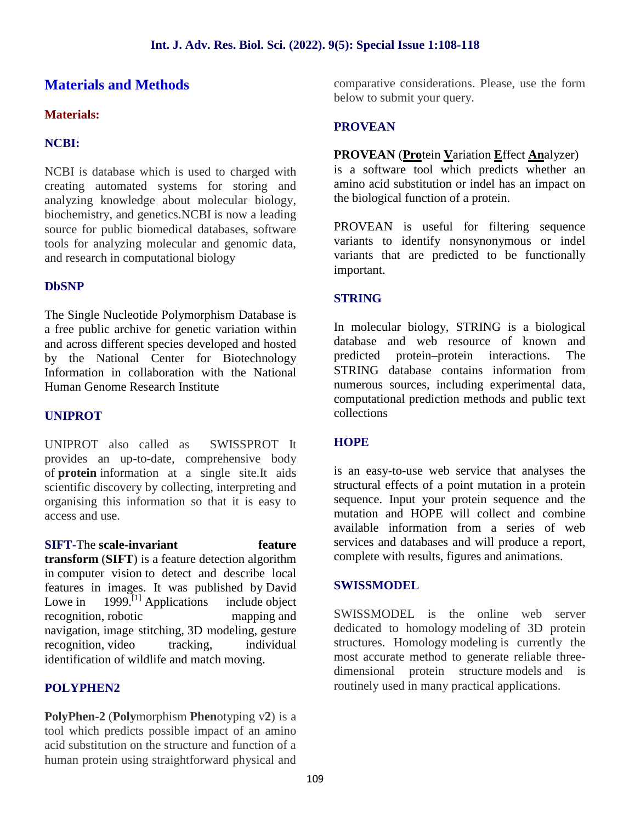# **Materials and Methods**

#### **Materials:**

#### **NCBI:**

NCBI is database which is used to charged with creating automated systems for storing and analyzing knowledge about molecular biology, biochemistry, and genetics.NCBI is now a leading source for public biomedical databases, software tools for analyzing molecular and genomic data, and research in computational biology

#### **DbSNP**

The Single Nucleotide Polymorphism Database is a free public archive for genetic variation within and across different species developed and hosted database<br>
by the National Center for Biotechnology predicted by the National Center for Biotechnology Information in collaboration with the National Human Genome Research Institute

#### **UNIPROT**

UNIPROT also called as SWISSPROT It provides an up-to-date, comprehensive body of **protein** information at a single site.It aids scientific discovery by collecting, interpreting and organising this information so that it is easy to access and use.

**SIFT-The scale-invariant feature transform** (**SIFT**) is a feature detection algorithm in computer vision to detect and describe local features in images. It was published by David Lowe in  $1999$ <sup>[1]</sup> Applications include object recognition, robotic mapping and navigation, image stitching, 3D modeling, gesture recognition, video tracking, individual identification of wildlife and match moving.

#### **POLYPHEN2**

**PolyPhen-2** (**Poly**morphism **Phen**otyping v**2**) is a tool which predicts possible impact of an amino acid substitution on the structure and function of a human protein using straightforward physical and comparative considerations. Please, use the form below to submit your query.

#### **PROVEAN**

#### **PROVEAN** (**Pro**tein **V**ariation **E**ffect **An**alyzer)

is a software tool which predicts whether an amino acid substitution or indel has an impact on the biological function of a protein.

PROVEAN is useful for filtering sequence variants to identify nonsynonymous or indel variants that are predicted to be functionally important.

#### **STRING**

In molecular biology, STRING is a biological database and web resource of known and protein–protein interactions. The STRING database contains information from numerous sources, including experimental data, computational prediction methods and public text collections

#### **HOPE**

is an easy-to-use web service that analyses the structural effects of a point mutation in a protein sequence. Input your protein sequence and the mutation and HOPE will collect and combine available information from a series of web services and databases and will produce a report, complete with results, figures and animations.

#### **SWISSMODEL**

SWISSMODEL is the online web server dedicated to homology modeling of 3D protein structures. Homology modeling is currently the most accurate method to generate reliable three dimensional protein structure models and is routinely used in many practical applications.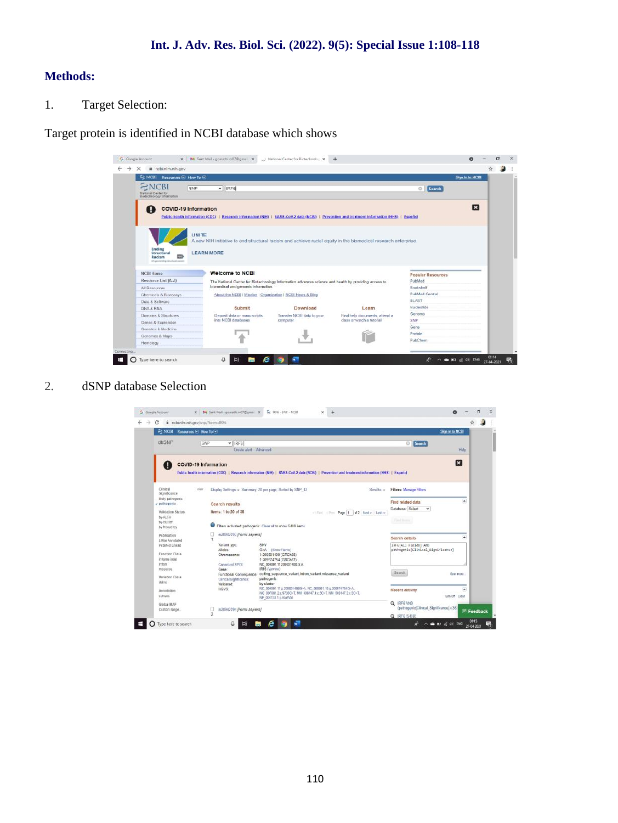#### **Methods:**

1. Target Selection:

Target protein is identified in NCBI database which shows

| E NCBI Resources ⊙ How To ⊙                                     |                                                                                                                                              |                            |                               |                                    | Sign in to NCBI |
|-----------------------------------------------------------------|----------------------------------------------------------------------------------------------------------------------------------------------|----------------------------|-------------------------------|------------------------------------|-----------------|
| VCBI<br>SNP<br>National Center for<br>Biotechnology Information | $~\vee$ IRFE                                                                                                                                 |                            |                               | Search<br>$\circ$                  |                 |
| <b>COVID-19 Information</b><br>П                                | Public health information (CDC)   Research information (NIH)   SARS CoV 2 data (NCBI)   Prevention and treatment information (HHS)   Español |                            |                               |                                    | E               |
| UNITE                                                           | A new NIH initiative to end structural racism and achieve racial equity in the biomedical research enterprise.                               |                            |                               |                                    |                 |
| Ending<br><b>Structural</b><br>Racism                           | <b>LEARN MORE</b>                                                                                                                            |                            |                               |                                    |                 |
| not preferably sincluded various<br><b>NCBI Home</b>            | <b>Welcome to NCBI</b>                                                                                                                       |                            |                               |                                    |                 |
|                                                                 | The National Center for Biotechnology Information advances science and health by providing access to                                         |                            |                               | <b>Popular Resources</b><br>PubMed |                 |
| Resource List (A-Z)<br>All Resources                            | biomedical and genomic information.                                                                                                          |                            |                               | Bookshelf                          |                 |
| Chemicals & Bioassays                                           | About the NCBI I Mission   Organization   NCBI News & Blog                                                                                   |                            |                               | PubMed Central                     |                 |
|                                                                 |                                                                                                                                              |                            |                               | BLAST                              |                 |
| Data & Software<br>DNA & RNA                                    | Submit                                                                                                                                       | Download                   | Learn                         | Nucleotide                         |                 |
| Domains & Structures                                            | Deposit data or manuscripts                                                                                                                  | Transfer NCBI data to your | Find help documents, attend a | Genome                             |                 |
| Genes & Expression                                              | into NCBI databases                                                                                                                          | computer                   | class or watch a futorial     | SNP                                |                 |
| Genetics & Medicine                                             |                                                                                                                                              |                            |                               | Gene                               |                 |
| Genomes & Maps                                                  |                                                                                                                                              |                            |                               | Protein<br>PubChem                 |                 |

2. dSNP database Selection

| С                                                                                                           | a ncbi.nlm.mh.gov/snp/?term=IRF6                                                                                                                                                                                                                 |                                                                                  | ÷.                |
|-------------------------------------------------------------------------------------------------------------|--------------------------------------------------------------------------------------------------------------------------------------------------------------------------------------------------------------------------------------------------|----------------------------------------------------------------------------------|-------------------|
| a<br><b>NCBI</b>                                                                                            | Resources <b>⊡</b> How To <b>⊙</b>                                                                                                                                                                                                               | Sim in to NCBI                                                                   |                   |
| dbSNP                                                                                                       | SNP<br>$~\text{V}$ IRF6<br>Create alert Advanced                                                                                                                                                                                                 | Search<br>$\Theta$<br>Help                                                       |                   |
|                                                                                                             | <b>COVID-19 Information</b><br>Public health information (CDC)   Research information (NH)   SARS-CoV-2 data (NCBI)   Prevention and treatment information (HHS)   Español                                                                       | E                                                                                |                   |
| Clinical<br>Significance<br>likely pathoperaic.<br>J pathogenic                                             | Display Settings + Summary, 20 per page, Sorted by SNP ID<br>CHAI<br>Send to: =<br>Search results                                                                                                                                                | <b>Filters: Manage Filters</b><br>٠<br>Find related data                         |                   |
| <b>Validation Status</b><br>by ALFA<br>by-cluster<br>by-frequency                                           | Items: 1 to 20 of 36<br>william illino Page 1 of 2 Heat > Last >><br>Filters activated: pathogenic. Clear all to show 5408 items.                                                                                                                | Database Select<br>v<br><b>Fieldom</b>                                           |                   |
| <b>Publication</b><br><b>LitVar Annotated</b><br>PubMed Linked<br>Function Class<br>inframe indel<br>inten. | rs28942093 (Homo sapiens)<br>٠<br>SNV<br>Variant type:<br>Allalas<br>G>A [Show Flanks]<br>1:209801409 (GRCh38)<br>Chromosome:<br>1:209974754 (GRCh37)<br>Canonical SPDI<br>NC_000001.11.209801408.G.A.                                           | ×<br>Search details<br>IRF6[All Fields] AND<br>pathogenic[Clinical Significance] |                   |
| <b><i><u>MISSASSA</u></i></b><br>Variation Class<br>delm                                                    | IRF6 (Varview)<br>Gene:<br>coding sequence variant intron variant missense variant<br>Functional Consequence:<br>pathogenic<br>Clinical significance:<br>by cluster<br>Validated:<br>NC: 000001 11 g 203801409G-A, NC: 000001 10 g 209974754G-A, | Search<br>See more                                                               |                   |
| Annotation<br>somatic                                                                                       | HGVS:<br>NG_007081.2 g.9726C=T, NM_006147.4 c.5C=T, NM_006147.3 c.5C=T,<br>NP 006138 1.p Ais2Val                                                                                                                                                 | Recent activity<br>×<br>Turn Off Clear<br>Q IRFS AND                             |                   |
| Global MAF<br>Custom range                                                                                  | Ω<br>rs28942094 (Homo sapiens)<br>b.                                                                                                                                                                                                             | (pathogenic/Clinical Significance)) (36)<br>Q IRF5 (5408)                        | <b>国 Feedback</b> |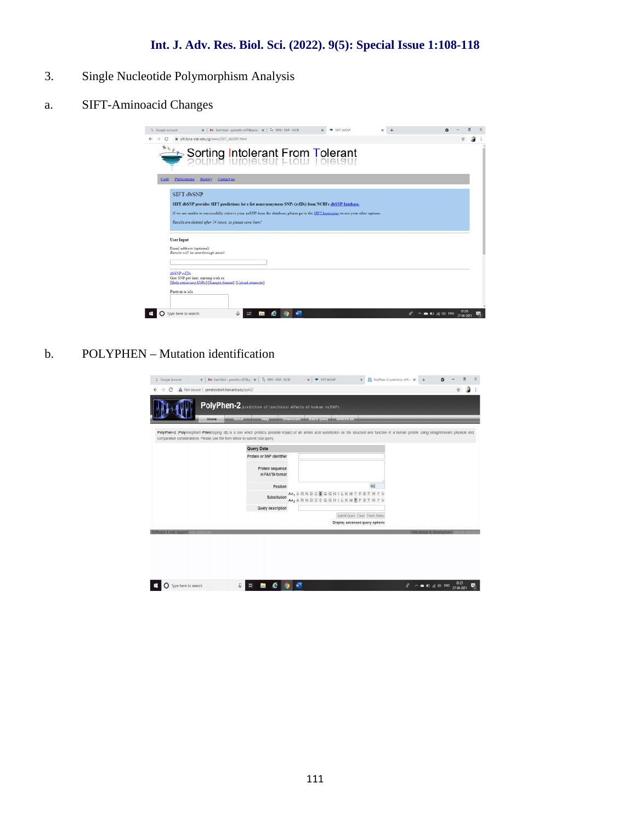## **Int. J. Adv. Res. Biol. Sci. (2022). 9(5): Special Issue 1:108-118**

- 3. Single Nucleotide Polymorphism Analysis
- a. SIFT-Aminoacid Changes

| G Google Account                       | x   M Sent Mail - gomathin 07@gmail x   2: IRF8 - SNP - NCBI                                                                                                                                                                                                                                            | SIFT dhSNP | ×  |                                        |
|----------------------------------------|---------------------------------------------------------------------------------------------------------------------------------------------------------------------------------------------------------------------------------------------------------------------------------------------------------|------------|----|----------------------------------------|
|                                        | ii sift bii.a-stanedu.sg/www./SIFT_dbSNP.html                                                                                                                                                                                                                                                           |            |    |                                        |
| 51E                                    | Sorting Intolerant From Tolerant                                                                                                                                                                                                                                                                        |            |    |                                        |
| Code                                   | Publications History Contact to                                                                                                                                                                                                                                                                         |            |    |                                        |
| <b>SIFT dbSNP</b>                      | SIFT dbSNP provides SIFT predictions for a list nonsynonymous SNPs (rsIDs) from NCBI's dbSNP database.<br>If we are unable to successfully retrieve your nsSNP from the database, please go to the SIFT homepage to see your other options.<br>Results are deleted after 24 hours, so please save them! |            |    |                                        |
| User Input<br>Email address (optional) | Results will be sent through email                                                                                                                                                                                                                                                                      |            |    |                                        |
| dbSNP ralDs<br>Paste in rs id's        | One SNP per line, starting with rs.<br>[Help retrieving SNPs] [Sample format] [Upload example]                                                                                                                                                                                                          |            |    |                                        |
| Type here to search                    | е                                                                                                                                                                                                                                                                                                       |            | Å. | 01:20<br>A ■ 10 点 01 ENG<br>27-04-3023 |

b. POLYPHEN – Mutation identification

| comparative considerations. Please, use the form below to submit your query. |                                     | PolyPhen-2 (Polymorphism Phenotyping v2) is a tool which predicts possible impact of an amino acid substitution on the structure and function of a human protein using straghtforward physical and |  |
|------------------------------------------------------------------------------|-------------------------------------|----------------------------------------------------------------------------------------------------------------------------------------------------------------------------------------------------|--|
|                                                                              | Query Data                          |                                                                                                                                                                                                    |  |
|                                                                              | Protein or SNP identifier           |                                                                                                                                                                                                    |  |
|                                                                              | Protein sequence<br>in FASTA format |                                                                                                                                                                                                    |  |
|                                                                              | Position                            | 642                                                                                                                                                                                                |  |
|                                                                              | Substitution                        | AA, ARNDCEQGHILKMFPSTWYV<br>AA <sub>2</sub> A R N D C E Q G H I L K M E P S T W Y V                                                                                                                |  |
|                                                                              | Query description                   |                                                                                                                                                                                                    |  |
|                                                                              |                                     | Submit Query Clear Check Status                                                                                                                                                                    |  |
|                                                                              |                                     | Display advanced query options                                                                                                                                                                     |  |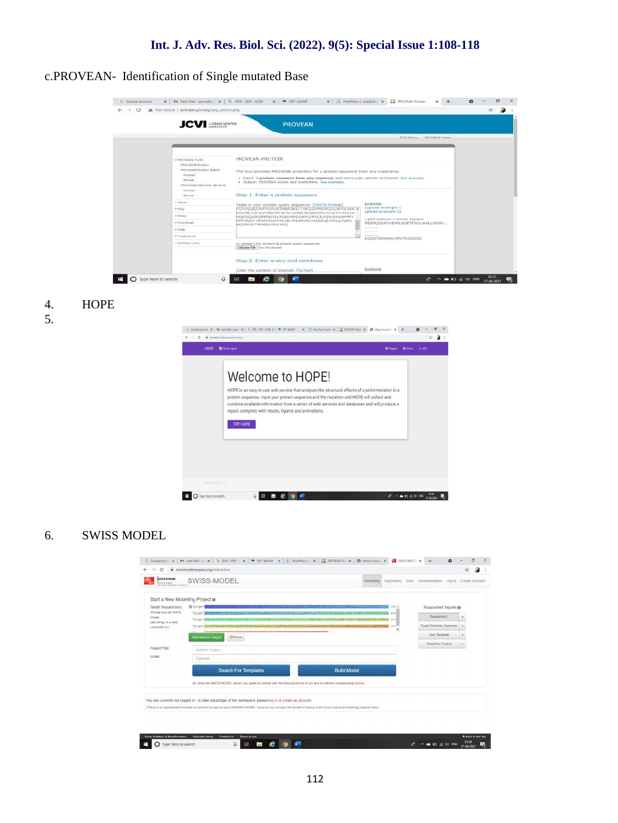c.PROVEAN- Identification of Single mutated Base

| c | A Not secure provean jovi.org/seq_submit.php                                                                                        |                                                                                                                                                                                                                                                                                                      |                                                                                                                                                                                         | Y. |  |
|---|-------------------------------------------------------------------------------------------------------------------------------------|------------------------------------------------------------------------------------------------------------------------------------------------------------------------------------------------------------------------------------------------------------------------------------------------------|-----------------------------------------------------------------------------------------------------------------------------------------------------------------------------------------|----|--|
|   | <b>JCV</b> J.CRAIG VENTER                                                                                                           | <b>PROVEAN</b>                                                                                                                                                                                                                                                                                       |                                                                                                                                                                                         |    |  |
|   |                                                                                                                                     |                                                                                                                                                                                                                                                                                                      | <b>JCVI Home PROVEAN Home</b>                                                                                                                                                           |    |  |
|   | - PROVEAN Tools<br><b>PROVEAN Protein</b><br>PROVEAN Protein Batch<br>Human<br>Mouse<br>PROVEAN Genome Variants<br>Human<br>Missish | PROVEAN PROTEIN<br>This tool provides PROVEAN prediction for a protein sequence from any organisms.<br>· Input: A protein sequence from any organism and amino acid variants of interest. See example.<br>· Output: PROVEAN scores and predictions, See example,<br>Step 1. Enter a protein sequence |                                                                                                                                                                                         |    |  |
|   | * About<br>$+FAQ$<br>- News<br>+ Download<br>$+$ Help<br>+ Contact Us                                                               | Paste in your protein query sequence: [FASTA format]<br>FGPVSLEQVKFPGPEHITNEKOKLFTSKLLDVMDRGLILWVSGHA .<br>SYAIRLCOCKVYWSGPCALSLVAPNLIEIOKKVKLFCLETFLSDLIA<br>HOKGOIEKOPPHITYLCPGEEWPDGKPLERKLILVOVISVVAPMIY<br>EMFSGDFTRSFDSGSVRLQILTPDIKDNIVAQLKQLYRILQTQES<br>WOPMOPTPSMOLPPALPPO                 | Example<br>(upload example 1<br>upload example 21<br>>p53 isoform a Homo sapiena<br>MEEPOSDPSVEPPLSQETFSDLWKLLPENN<br><b><i><u>A DISTRIBUTE</u></i></b><br><b>KGOSTSRHKKLMFKTEGPDSD</b> |    |  |
|   | + Related Links                                                                                                                     | Or upload a file containing protein query sequence:<br>Choose File: No file choose:<br>Step 2. Enter amino acid variations<br>Enter the variants of interest: [format]                                                                                                                               | Example                                                                                                                                                                                 |    |  |

- 4. HOPE
- 5.



#### 6. SWISS MODEL

| <b>BIGZENTRUM</b><br><b>Brianning and Card </b><br>Candy for Meteorological company | SWISS-MODEL                                                                                                                                                                                                                                                                               |  |                    |                                                                                                                       | Modelling Repository | Tools Documentation Log in Create Account |        |  |
|-------------------------------------------------------------------------------------|-------------------------------------------------------------------------------------------------------------------------------------------------------------------------------------------------------------------------------------------------------------------------------------------|--|--------------------|-----------------------------------------------------------------------------------------------------------------------|----------------------|-------------------------------------------|--------|--|
| Start a New Modelling Project o                                                     |                                                                                                                                                                                                                                                                                           |  |                    |                                                                                                                       |                      |                                           |        |  |
| Target Sequence(s):                                                                 | O Target                                                                                                                                                                                                                                                                                  |  |                    | <b>DECEMBER DE REGIONAL DE CARDIO DE LA PORTUGALIA DE LA PORTUGALIA DE LA PORTUGALIA DE LA PORTUGALIA DE LA PORTU</b> | 200 m                | Supported Inputs @                        |        |  |
| Pormat must be FASTA.<br>Clustel                                                    | Thrust MOVEMENTIV/WOLFGROGETHRGSTGLANDEKONUVDERERELDGROHNVPSQDTFPFILLINGSFMAFANWRGSVSRCEPEAWNPKTERERE 210<br>Target EVROARIGPEYBBREINIBBLBMTDLDIRFQYAGHEYBQTMTVBNFQGCBLFVBDLGPMFDQEELFGFVBLEQVBFRGFEHITMENQRLFTSKLLDVMDR ass                                                              |  |                    |                                                                                                                       |                      | Baggancais)                               | ٠      |  |
| plain athing, or a valid<br>UniProVE ACT                                            | Target @LILW90HA9YA3RLCQCNVYW88PCAL8EVAPHLIE3QKWWEPCEETFL8DLIANQK0QIENQPPFRIVECF8EEWPD0KPLENALILWQWIEWWEP                                                                                                                                                                                 |  |                    |                                                                                                                       | 400                  | Tarpet-Template Alignment                 | $\sim$ |  |
|                                                                                     | C Reset<br>Add Hetero Target                                                                                                                                                                                                                                                              |  |                    |                                                                                                                       |                      | User Template                             | ٠      |  |
|                                                                                     |                                                                                                                                                                                                                                                                                           |  |                    |                                                                                                                       |                      | <b>DeepWen Project</b>                    | ۰      |  |
| Project Title:                                                                      | Untilled Project                                                                                                                                                                                                                                                                          |  |                    |                                                                                                                       |                      |                                           |        |  |
| Email                                                                               | Optional                                                                                                                                                                                                                                                                                  |  |                    |                                                                                                                       |                      |                                           |        |  |
|                                                                                     | <b>Search For Templates</b>                                                                                                                                                                                                                                                               |  | <b>Build Model</b> |                                                                                                                       |                      |                                           |        |  |
|                                                                                     | By using the SWISS-MODEL server, you agree to comply with the following terms of use and to cite the corresponding articles.                                                                                                                                                              |  |                    |                                                                                                                       |                      |                                           |        |  |
|                                                                                     |                                                                                                                                                                                                                                                                                           |  |                    |                                                                                                                       |                      |                                           |        |  |
|                                                                                     | You are currently not logged in - to take advantage of the workspace, please log in or create an account.<br>(There is no requirement to create an account to use any part of SMISS-MODEL, however you will pain the benefit of seeing a list of your previous modelling projects here is |  |                    |                                                                                                                       |                      |                                           |        |  |
|                                                                                     |                                                                                                                                                                                                                                                                                           |  |                    |                                                                                                                       |                      |                                           |        |  |
|                                                                                     |                                                                                                                                                                                                                                                                                           |  |                    |                                                                                                                       |                      |                                           |        |  |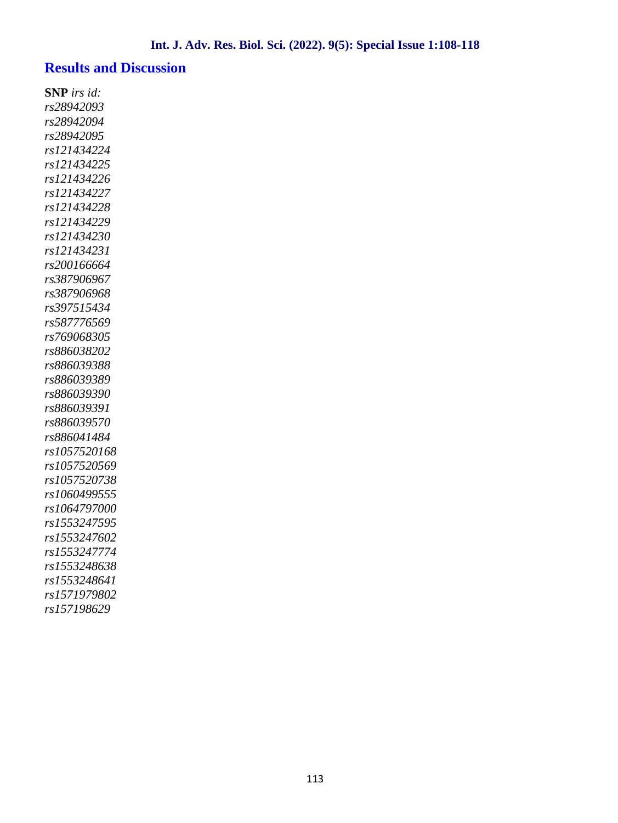#### **Results and Discussion**

**SNP** *irs id: rs28942093 rs28942094 rs28942095 rs121434224 rs121434225 rs121434226 rs121434227 rs121434228 rs121434229 rs121434230 rs121434231 rs200166664 rs387906967 rs387906968 rs397515434 rs587776569 rs769068305 rs886038202 rs886039388 rs886039389 rs886039390 rs886039391 rs886039570 rs886041484 rs1057520168 rs1057520569 rs1057520738 rs1060499555 rs1064797000 rs1553247595 rs1553247602 rs1553247774 rs1553248638 rs1553248641 rs1571979802 rs157198629*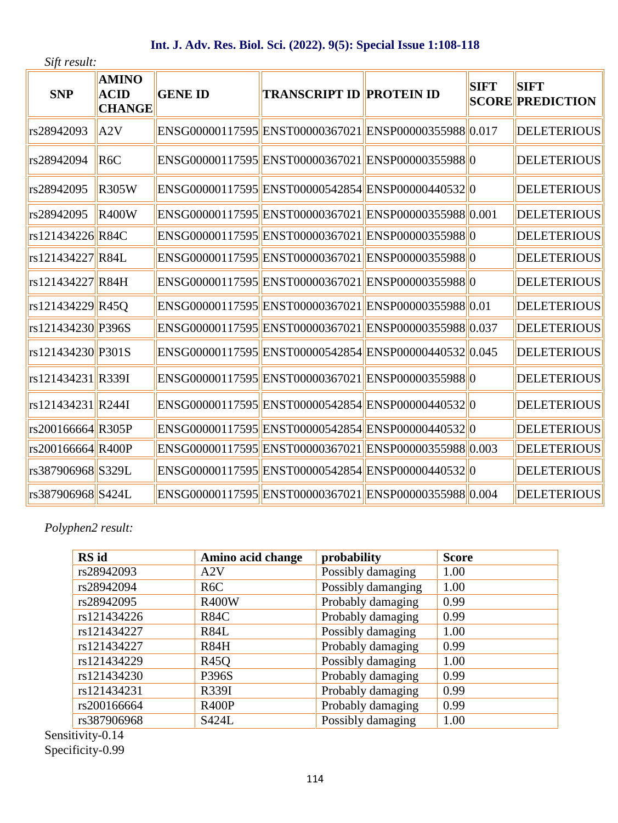## **Int. J. Adv. Res. Biol. Sci. (2022). 9(5): Special Issue 1:108-118**

*Sift result:*

| <b>SNP</b>        | <b>AMINO</b><br><b>ACID</b><br><b>CHANGE</b> | <b>GENE ID</b> | <b>TRANSCRIPT ID PROTEIN ID</b> |                                                       | <b>SIFT</b> | <b>SIFT</b><br><b>SCORE PREDICTION</b> |
|-------------------|----------------------------------------------|----------------|---------------------------------|-------------------------------------------------------|-------------|----------------------------------------|
| rs28942093        | A2V                                          |                |                                 | ENSG00000117595 ENST00000367021 ENSP00000355988 0.017 |             | <b>DELETERIOUS</b>                     |
| rs28942094        | R6C                                          |                |                                 | ENSG00000117595 ENST00000367021 ENSP00000355988 0     |             | <b>DELETERIOUS</b>                     |
| rs28942095        | <b>R305W</b>                                 |                |                                 | ENSG00000117595 ENST00000542854 ENSP00000440532 0     |             | <b>DELETERIOUS</b>                     |
| rs28942095        | <b>R400W</b>                                 |                |                                 | ENSG00000117595 ENST00000367021 ENSP00000355988 0.001 |             | <b>DELETERIOUS</b>                     |
| rs121434226 R84C  |                                              |                |                                 | ENSG00000117595 ENST00000367021 ENSP00000355988 0     |             | <b>DELETERIOUS</b>                     |
| rs121434227 R84L  |                                              |                |                                 | ENSG00000117595 ENST00000367021 ENSP00000355988 0     |             | <b>DELETERIOUS</b>                     |
| rs121434227 R84H  |                                              |                |                                 | ENSG00000117595 ENST00000367021 ENSP00000355988 0     |             | <b>DELETERIOUS</b>                     |
| rs121434229 R45Q  |                                              |                |                                 | ENSG00000117595 ENST00000367021 ENSP00000355988 0.01  |             | <b>DELETERIOUS</b>                     |
| rs121434230 P396S |                                              |                |                                 | ENSG00000117595 ENST00000367021 ENSP00000355988 0.037 |             | <b>DELETERIOUS</b>                     |
| rs121434230 P301S |                                              |                |                                 | ENSG00000117595 ENST00000542854 ENSP00000440532 0.045 |             | <b>DELETERIOUS</b>                     |
| rs121434231 R339I |                                              |                |                                 | ENSG00000117595 ENST00000367021 ENSP00000355988 0     |             | <b>DELETERIOUS</b>                     |
| rs121434231 R244I |                                              |                |                                 | ENSG00000117595 ENST00000542854 ENSP00000440532 0     |             | <b>DELETERIOUS</b>                     |
| rs200166664 R305P |                                              |                |                                 | ENSG00000117595 ENST00000542854 ENSP00000440532 0     |             | <b>DELETERIOUS</b>                     |
| rs200166664 R400P |                                              |                |                                 | ENSG00000117595 ENST00000367021 ENSP00000355988 0.003 |             | <b>DELETERIOUS</b>                     |
| rs387906968 S329L |                                              |                |                                 | ENSG00000117595 ENST00000542854 ENSP00000440532 0     |             | <b>DELETERIOUS</b>                     |
| rs387906968 S424L |                                              |                |                                 | ENSG00000117595 ENST00000367021 ENSP00000355988 0.004 |             | <b>DELETERIOUS</b>                     |
|                   |                                              |                |                                 |                                                       |             |                                        |

# *Polyphen2 result:*

| <b>RS</b> id | Amino acid change | probability        | <b>Score</b> |
|--------------|-------------------|--------------------|--------------|
| rs28942093   | A2V               | Possibly damaging  | 1.00         |
| rs28942094   | R <sub>6</sub> C  | Possibly damanging | 1.00         |
| rs28942095   | <b>R400W</b>      | Probably damaging  | 0.99         |
| rs121434226  | <b>R84C</b>       | Probably damaging  | 0.99         |
| rs121434227  | R <sub>84</sub> L | Possibly damaging  | 1.00         |
| rs121434227  | <b>R84H</b>       | Probably damaging  | 0.99         |
| rs121434229  | <b>R450</b>       | Possibly damaging  | 1.00         |
| rs121434230  | P396S             | Probably damaging  | 0.99         |
| rs121434231  | R339I             | Probably damaging  | 0.99         |
| rs200166664  | <b>R400P</b>      | Probably damaging  | 0.99         |
| rs387906968  | S424L             | Possibly damaging  | 1.00         |

Sensitivity-0.14 Specificity-0.99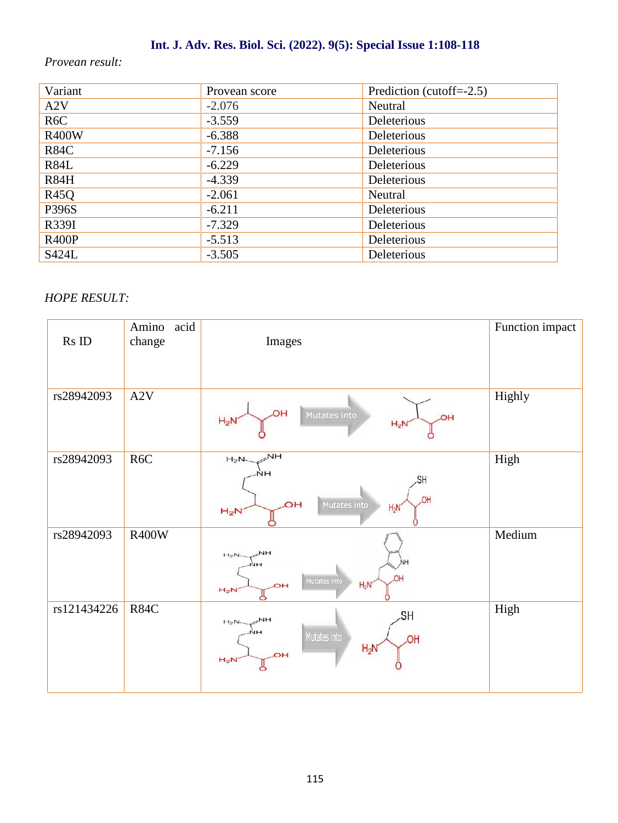# **Int. J. Adv. Res. Biol. Sci. (2022). 9(5): Special Issue 1:108-118**

#### *Provean result:*

| Variant          | Provean score | Prediction (cutoff= $-2.5$ ) |
|------------------|---------------|------------------------------|
| A2V              | $-2.076$      | Neutral                      |
| R <sub>6</sub> C | $-3.559$      | Deleterious                  |
| <b>R400W</b>     | $-6.388$      | Deleterious                  |
| <b>R84C</b>      | $-7.156$      | Deleterious                  |
| <b>R84L</b>      | $-6.229$      | Deleterious                  |
| <b>R84H</b>      | $-4.339$      | Deleterious                  |
| <b>R45Q</b>      | $-2.061$      | Neutral                      |
| <b>P396S</b>     | $-6.211$      | Deleterious                  |
| R339I            | $-7.329$      | Deleterious                  |
| <b>R400P</b>     | $-5.513$      | Deleterious                  |
| S424L            | $-3.505$      | Deleterious                  |

#### *HOPE RESULT:*

| $\mathop{\rm Rs}\nolimits$ ID | Amino<br>acid<br>change | Images                                                                                       | Function impact |
|-------------------------------|-------------------------|----------------------------------------------------------------------------------------------|-----------------|
| rs28942093                    | A2V                     | ЮH<br>Mutates into<br>ЮH<br>$H_2N$<br>$H_2N$                                                 | Highly          |
| rs28942093                    | R <sub>6</sub> C        | NH<br>$H_2N-$<br>.SH<br>OH<br><b>OH</b><br>Mutates into<br>$H_2N'$<br>$H_2N$                 | High            |
| rs28942093                    | <b>R400W</b>            | $\mathbb{R}^{\mathsf{NH}}$<br>$H_2N$<br>NН<br>Mutates into<br>$H_2N$<br><b>OH</b><br>$H_2N$  | Medium          |
| rs121434226                   | <b>R84C</b>             | SH<br>$\mathbb{R}^{N}$ H<br>$H_2N-$<br>Mutates into<br><b>JOH</b><br>$H_2N'$<br>ЮH<br>$H_2N$ | High            |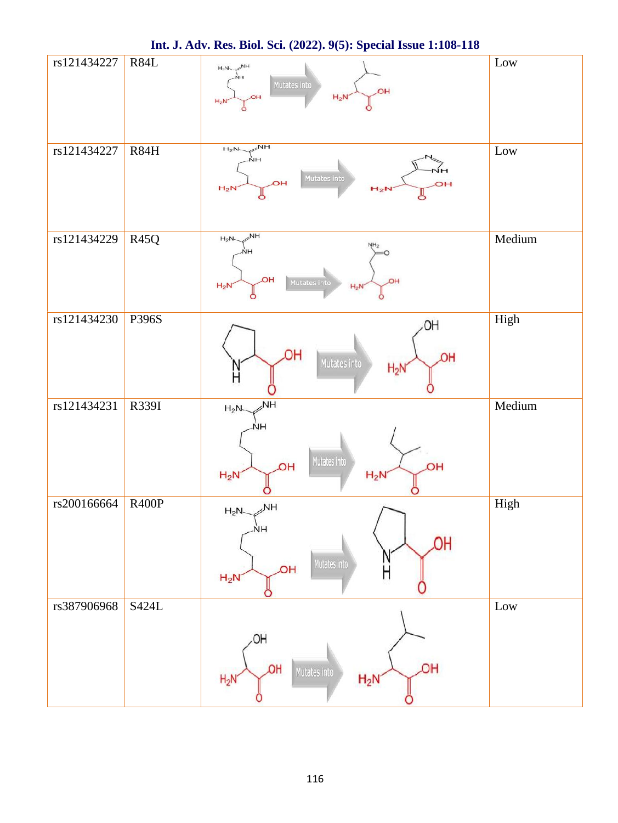| rs121434227 | R84L         | $\mathbb{R}^{\mathsf{NH}}$<br>$H_2N$<br>Mutates into<br>OH<br>$H_2N$                 | $_{\rm Low}$ |
|-------------|--------------|--------------------------------------------------------------------------------------|--------------|
| rs121434227 | R84H         | $\mathbb{R}^{\mathsf{NH}}$<br>$H_2N$<br>Mutates into<br>OH<br>OН<br>$H_2N$<br>$H_2N$ | Low          |
| rs121434229 | <b>R45Q</b>  | NH<br>$H_2N-$<br>ЮH<br>Mutates into<br><b>OH</b><br>$H_2N$<br>$H_2N$                 | Medium       |
| rs121434230 | P396S        | OH.<br><b>HQ</b><br>OH<br>Mutates into<br>$H_2N$                                     | High         |
| rs121434231 | R339I        | <b>NH</b><br>$H_2N$<br>Mutates into<br>ЮH<br>OН<br>$H_2N$<br>$H_2N$                  | Medium       |
| rs200166664 | <b>R400P</b> | $H_2N \sim NH$<br>ŅΗ<br>ЮH<br>Mutates into<br><b>HO</b><br>Η<br>$H_2N$               | High         |
| rs387906968 | S424L        | OH<br><b>JOH</b><br><b>JOH</b><br>Mutates into<br>$H_2N$<br>$H_2N$                   | Low          |

**Int. J. Adv. Res. Biol. Sci. (2022). 9(5): Special Issue 1:108-118**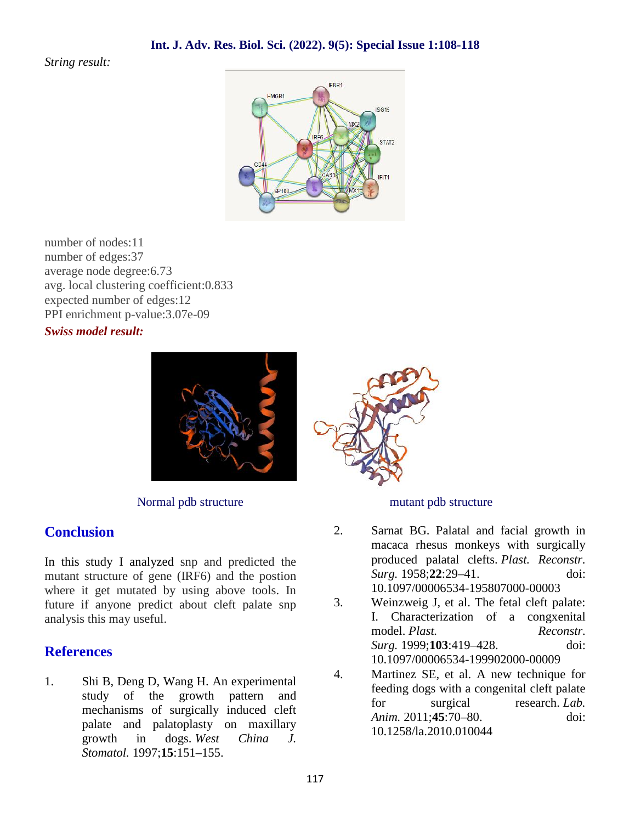#### *String result:*



number of nodes:11 number of edges:37 average node degree:6.73 avg. local clustering coefficient:0.833 expected number of edges:12 PPI enrichment p-value:3.07e-09

#### *Swiss model result:*



Normal pdb structure mutant pdb structure

# **Conclusion**

In this study I analyzed snp and predicted the mutant structure of gene (IRF6) and the postion where it get mutated by using above tools. In<br>future if anyone predict about cleft palate spp. 3. future if anyone predict about cleft palate snp analysis this may useful.

### **References**

1. Shi B, Deng D, Wang H. An experimental study of the growth pattern and mechanisms of surgically induced cleft palate and palatoplasty on maxillary growth in dogs. *West China J. Stomatol.* 1997;**15**:151–155.



- 2. Sarnat BG. Palatal and facial growth in macaca rhesus monkeys with surgically produced palatal clefts. *Plast. Reconstr. Surg.* 1958;**22**:29–41. doi: 10.1097/00006534-195807000-00003
- Weinzweig J, et al. The fetal cleft palate: I. Characterization of a congxenital model. *Plast. Reconstr. Surg.* 1999;**103**:419–428. doi: 10.1097/00006534-199902000-00009
- 4. Martinez SE, et al. A new technique for feeding dogs with a congenital cleft palate for surgical research. *Lab. Anim.* 2011;**45**:70–80. doi: 10.1258/la.2010.010044